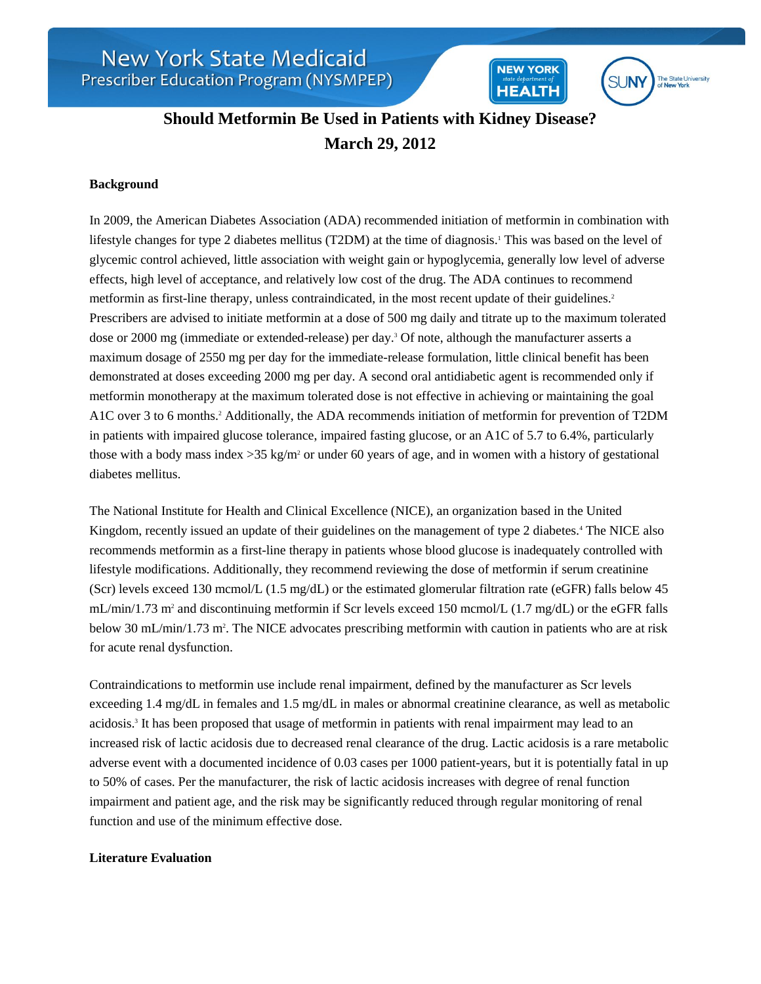**SUNY** The State University<br>of New York

**NEW YORK** 

**HEALTH** 

# **Should Metformin Be Used in Patients with Kidney Disease? March 29, 2012**

### **Background**

In 2009, the American Diabetes Association (ADA) recommended initiation of metformin in combination with lifestyle changes for type 2 diabetes mellitus (T2DM) at the time of diagnosis.<sup>1</sup> This was based on the level of glycemic control achieved, little association with weight gain or hypoglycemia, generally low level of adverse effects, high level of acceptance, and relatively low cost of the drug. The ADA continues to recommend metformin as first-line therapy, unless contraindicated, in the most recent update of their guidelines.<sup>2</sup> Prescribers are advised to initiate metformin at a dose of 500 mg daily and titrate up to the maximum tolerated dose or 2000 mg (immediate or extended-release) per day.<sup>3</sup> Of note, although the manufacturer asserts a maximum dosage of 2550 mg per day for the immediate-release formulation, little clinical benefit has been demonstrated at doses exceeding 2000 mg per day. A second oral antidiabetic agent is recommended only if metformin monotherapy at the maximum tolerated dose is not effective in achieving or maintaining the goal A1C over 3 to 6 months.<sup>2</sup> Additionally, the ADA recommends initiation of metformin for prevention of T2DM in patients with impaired glucose tolerance, impaired fasting glucose, or an A1C of 5.7 to 6.4%, particularly those with a body mass index  $>35 \text{ kg/m}^2$  or under 60 years of age, and in women with a history of gestational diabetes mellitus.

The National Institute for Health and Clinical Excellence (NICE), an organization based in the United Kingdom, recently issued an update of their guidelines on the management of type 2 diabetes.<sup>4</sup> The NICE also recommends metformin as a first-line therapy in patients whose blood glucose is inadequately controlled with lifestyle modifications. Additionally, they recommend reviewing the dose of metformin if serum creatinine (Scr) levels exceed 130 mcmol/L (1.5 mg/dL) or the estimated glomerular filtration rate (eGFR) falls below 45 mL/min/1.73 m<sup>2</sup> and discontinuing metformin if Scr levels exceed 150 mcmol/L (1.7 mg/dL) or the eGFR falls below 30 mL/min/1.73 m<sup>2</sup>. The NICE advocates prescribing metformin with caution in patients who are at risk for acute renal dysfunction.

Contraindications to metformin use include renal impairment, defined by the manufacturer as Scr levels exceeding 1.4 mg/dL in females and 1.5 mg/dL in males or abnormal creatinine clearance, as well as metabolic acidosis.<sup>3</sup> It has been proposed that usage of metformin in patients with renal impairment may lead to an increased risk of lactic acidosis due to decreased renal clearance of the drug. Lactic acidosis is a rare metabolic adverse event with a documented incidence of 0.03 cases per 1000 patient-years, but it is potentially fatal in up to 50% of cases. Per the manufacturer, the risk of lactic acidosis increases with degree of renal function impairment and patient age, and the risk may be significantly reduced through regular monitoring of renal function and use of the minimum effective dose.

#### **Literature Evaluation**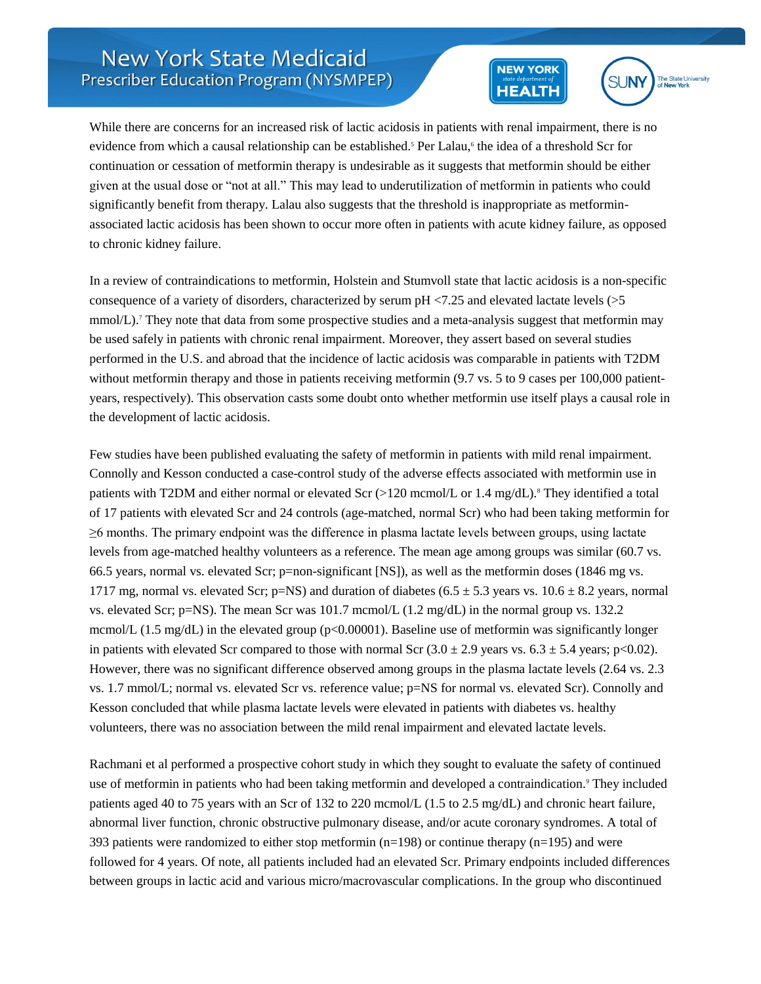



While there are concerns for an increased risk of lactic acidosis in patients with renal impairment, there is no evidence from which a causal relationship can be established.<sup>5</sup> Per Lalau,<sup>6</sup> the idea of a threshold Scr for continuation or cessation of metformin therapy is undesirable as it suggests that metformin should be either given at the usual dose or "not at all." This may lead to underutilization of metformin in patients who could significantly benefit from therapy. Lalau also suggests that the threshold is inappropriate as metforminassociated lactic acidosis has been shown to occur more often in patients with acute kidney failure, as opposed to chronic kidney failure.

In a review of contraindications to metformin, Holstein and Stumvoll state that lactic acidosis is a non-specific consequence of a variety of disorders, characterized by serum pH <7.25 and elevated lactate levels (>5 mmol/L).<sup>7</sup> They note that data from some prospective studies and a meta-analysis suggest that metformin may be used safely in patients with chronic renal impairment. Moreover, they assert based on several studies performed in the U.S. and abroad that the incidence of lactic acidosis was comparable in patients with T2DM without metformin therapy and those in patients receiving metformin (9.7 vs. 5 to 9 cases per 100,000 patientyears, respectively). This observation casts some doubt onto whether metformin use itself plays a causal role in the development of lactic acidosis.

Few studies have been published evaluating the safety of metformin in patients with mild renal impairment. Connolly and Kesson conducted a case-control study of the adverse effects associated with metformin use in patients with T2DM and either normal or elevated Scr  $(>120 \text{ memol/L or } 1.4 \text{ mg/dL})$ .<sup>8</sup> They identified a total of 17 patients with elevated Scr and 24 controls (age-matched, normal Scr) who had been taking metformin for ≥6 months. The primary endpoint was the difference in plasma lactate levels between groups, using lactate levels from age-matched healthy volunteers as a reference. The mean age among groups was similar (60.7 vs. 66.5 years, normal vs. elevated Scr; p=non-significant [NS]), as well as the metformin doses (1846 mg vs. 1717 mg, normal vs. elevated Scr; p=NS) and duration of diabetes (6.5  $\pm$  5.3 years vs. 10.6  $\pm$  8.2 years, normal vs. elevated Scr; p=NS). The mean Scr was 101.7 mcmol/L (1.2 mg/dL) in the normal group vs. 132.2 mcmol/L (1.5 mg/dL) in the elevated group ( $p<0.00001$ ). Baseline use of metformin was significantly longer in patients with elevated Scr compared to those with normal Scr  $(3.0 \pm 2.9 \text{ years} \text{ vs. } 6.3 \pm 5.4 \text{ years}; \text{p} < 0.02)$ . However, there was no significant difference observed among groups in the plasma lactate levels (2.64 vs. 2.3 vs. 1.7 mmol/L; normal vs. elevated Scr vs. reference value; p=NS for normal vs. elevated Scr). Connolly and Kesson concluded that while plasma lactate levels were elevated in patients with diabetes vs. healthy volunteers, there was no association between the mild renal impairment and elevated lactate levels.

Rachmani et al performed a prospective cohort study in which they sought to evaluate the safety of continued use of metformin in patients who had been taking metformin and developed a contraindication.<sup>9</sup> They included patients aged 40 to 75 years with an Scr of 132 to 220 mcmol/L (1.5 to 2.5 mg/dL) and chronic heart failure, abnormal liver function, chronic obstructive pulmonary disease, and/or acute coronary syndromes. A total of 393 patients were randomized to either stop metformin (n=198) or continue therapy (n=195) and were followed for 4 years. Of note, all patients included had an elevated Scr. Primary endpoints included differences between groups in lactic acid and various micro/macrovascular complications. In the group who discontinued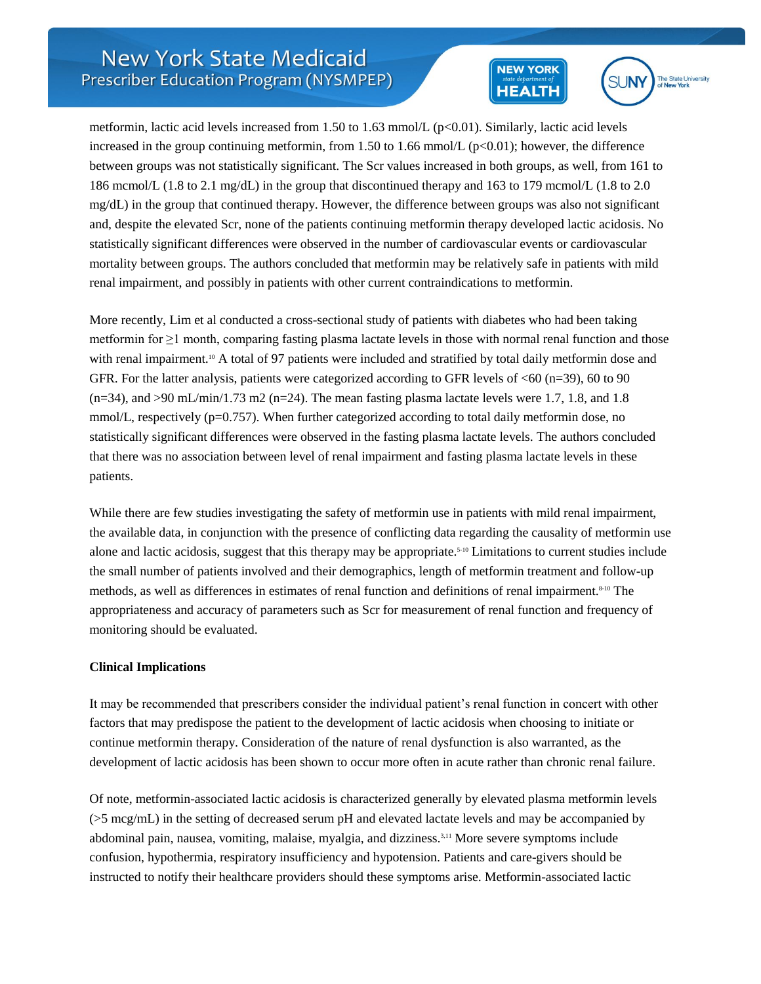



metformin, lactic acid levels increased from 1.50 to 1.63 mmol/L  $(p<0.01)$ . Similarly, lactic acid levels increased in the group continuing metformin, from 1.50 to 1.66 mmol/L ( $p<0.01$ ); however, the difference between groups was not statistically significant. The Scr values increased in both groups, as well, from 161 to 186 mcmol/L (1.8 to 2.1 mg/dL) in the group that discontinued therapy and 163 to 179 mcmol/L (1.8 to 2.0 mg/dL) in the group that continued therapy. However, the difference between groups was also not significant and, despite the elevated Scr, none of the patients continuing metformin therapy developed lactic acidosis. No statistically significant differences were observed in the number of cardiovascular events or cardiovascular mortality between groups. The authors concluded that metformin may be relatively safe in patients with mild renal impairment, and possibly in patients with other current contraindications to metformin.

More recently, Lim et al conducted a cross-sectional study of patients with diabetes who had been taking metformin for ≥1 month, comparing fasting plasma lactate levels in those with normal renal function and those with renal impairment.<sup>10</sup> A total of 97 patients were included and stratified by total daily metformin dose and GFR. For the latter analysis, patients were categorized according to GFR levels of  $\leq 60$  (n=39), 60 to 90  $(n=34)$ , and  $>90 \text{ mL/min}/1.73 \text{ m}$ 2 (n=24). The mean fasting plasma lactate levels were 1.7, 1.8, and 1.8 mmol/L, respectively  $(p=0.757)$ . When further categorized according to total daily metformin dose, no statistically significant differences were observed in the fasting plasma lactate levels. The authors concluded that there was no association between level of renal impairment and fasting plasma lactate levels in these patients.

While there are few studies investigating the safety of metformin use in patients with mild renal impairment, the available data, in conjunction with the presence of conflicting data regarding the causality of metformin use alone and lactic acidosis, suggest that this therapy may be appropriate.5-10 Limitations to current studies include the small number of patients involved and their demographics, length of metformin treatment and follow-up methods, as well as differences in estimates of renal function and definitions of renal impairment.<sup>8-10</sup> The appropriateness and accuracy of parameters such as Scr for measurement of renal function and frequency of monitoring should be evaluated.

#### **Clinical Implications**

It may be recommended that prescribers consider the individual patient's renal function in concert with other factors that may predispose the patient to the development of lactic acidosis when choosing to initiate or continue metformin therapy. Consideration of the nature of renal dysfunction is also warranted, as the development of lactic acidosis has been shown to occur more often in acute rather than chronic renal failure.

Of note, metformin-associated lactic acidosis is characterized generally by elevated plasma metformin levels (>5 mcg/mL) in the setting of decreased serum pH and elevated lactate levels and may be accompanied by abdominal pain, nausea, vomiting, malaise, myalgia, and dizziness.3,11 More severe symptoms include confusion, hypothermia, respiratory insufficiency and hypotension. Patients and care-givers should be instructed to notify their healthcare providers should these symptoms arise. Metformin-associated lactic